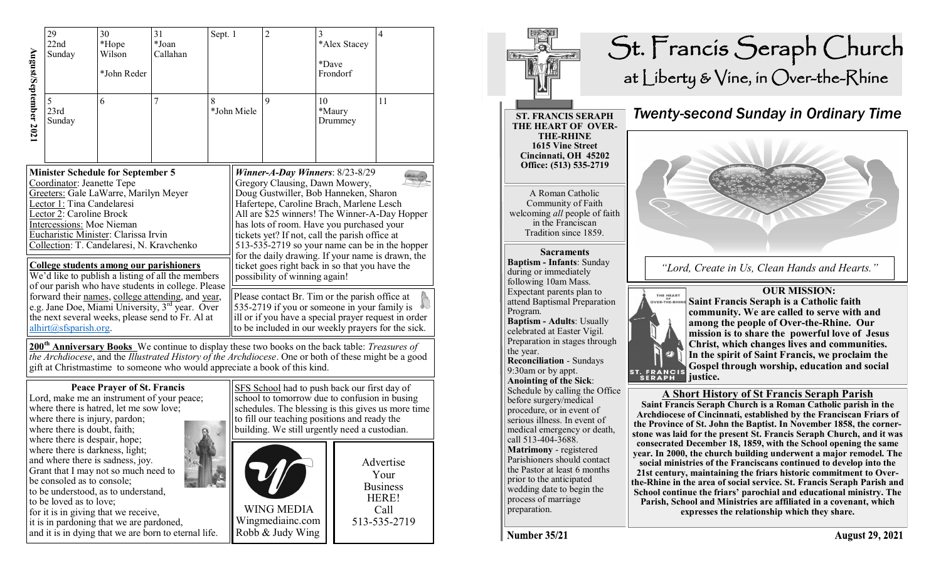| August/September 202                                                                                                                                                                                                                                                                                          | 29<br>22nd<br>Sunday<br>5<br>23rd<br>Sunday                                                                                                                                                                                                                                                                                                                                              | 30<br>*Hope<br>Wilson<br>*John Reder<br>6 | 31<br>*Joan<br>Callahan<br>7 | Sept. 1<br>8 | *John Miele                                                                                                                                                                                                                                                                                                                                                                                                                  | $\overline{2}$<br>$\mathbf Q$                                                                                                                                                                                                                        | 3<br>*Alex Stacey<br>*Dave<br>Frondorf<br>10<br>*Maury<br>Drummey | $\overline{4}$<br>11                                                  |
|---------------------------------------------------------------------------------------------------------------------------------------------------------------------------------------------------------------------------------------------------------------------------------------------------------------|------------------------------------------------------------------------------------------------------------------------------------------------------------------------------------------------------------------------------------------------------------------------------------------------------------------------------------------------------------------------------------------|-------------------------------------------|------------------------------|--------------|------------------------------------------------------------------------------------------------------------------------------------------------------------------------------------------------------------------------------------------------------------------------------------------------------------------------------------------------------------------------------------------------------------------------------|------------------------------------------------------------------------------------------------------------------------------------------------------------------------------------------------------------------------------------------------------|-------------------------------------------------------------------|-----------------------------------------------------------------------|
|                                                                                                                                                                                                                                                                                                               |                                                                                                                                                                                                                                                                                                                                                                                          | <b>Minister Schedule for September 5</b>  |                              |              |                                                                                                                                                                                                                                                                                                                                                                                                                              |                                                                                                                                                                                                                                                      | Winner-A-Day Winners: 8/23-8/29                                   |                                                                       |
| Coordinator: Jeanette Tepe<br>Greeters: Gale LaWarre, Marilyn Meyer<br>Lector 1: Tina Candelaresi<br>Lector 2: Caroline Brock<br><b>Intercessions:</b> Moe Nieman<br>Eucharistic Minister: Clarissa Irvin<br>Collection: T. Candelaresi, N. Kravchenko<br>College students among our parishioners             |                                                                                                                                                                                                                                                                                                                                                                                          |                                           |                              |              | Gregory Clausing, Dawn Mowery,<br>Doug Gustwiller, Bob Hanneken, Sharon<br>Hafertepe, Caroline Brach, Marlene Lesch<br>All are \$25 winners! The Winner-A-Day Hopper<br>has lots of room. Have you purchased your<br>tickets yet? If not, call the parish office at<br>513-535-2719 so your name can be in the hopper<br>for the daily drawing. If your name is drawn, the<br>ticket goes right back in so that you have the |                                                                                                                                                                                                                                                      |                                                                   |                                                                       |
| We'd like to publish a listing of all the members<br>of our parish who have students in college. Please<br>forward their names, college attending, and year,<br>e.g. Jane Doe, Miami University, 3 <sup>rd</sup> year. Over<br>the next several weeks, please send to Fr. Al at<br>$alhirt(@sfsparish.org)$ . |                                                                                                                                                                                                                                                                                                                                                                                          |                                           |                              |              | possibility of winning again!<br>Please contact Br. Tim or the parish office at<br>535-2719 if you or someone in your family is<br>ill or if you have a special prayer request in order<br>to be included in our weekly prayers for the sick.                                                                                                                                                                                |                                                                                                                                                                                                                                                      |                                                                   |                                                                       |
| 200 <sup>th</sup> Anniversary Books We continue to display these two books on the back table: <i>Treasures of</i><br>the Archdiocese, and the Illustrated History of the Archdiocese. One or both of these might be a good<br>gift at Christmastime to someone who would appreciate a book of this kind.      |                                                                                                                                                                                                                                                                                                                                                                                          |                                           |                              |              |                                                                                                                                                                                                                                                                                                                                                                                                                              |                                                                                                                                                                                                                                                      |                                                                   |                                                                       |
|                                                                                                                                                                                                                                                                                                               | <b>Peace Prayer of St. Francis</b><br>Lord, make me an instrument of your peace;<br>where there is hatred, let me sow love;<br>where there is injury, pardon;<br>where there is doubt, faith;                                                                                                                                                                                            |                                           |                              |              |                                                                                                                                                                                                                                                                                                                                                                                                                              | SFS School had to push back our first day of<br>school to tomorrow due to confusion in busing<br>schedules. The blessing is this gives us more time<br>to fill our teaching positions and ready the<br>building. We still urgently need a custodian. |                                                                   |                                                                       |
|                                                                                                                                                                                                                                                                                                               | where there is despair, hope;<br>where there is darkness, light;<br>and where there is sadness, joy.<br>Grant that I may not so much need to<br>be consoled as to console;<br>to be understood, as to understand,<br>to be loved as to love;<br>for it is in giving that we receive,<br>it is in pardoning that we are pardoned,<br>and it is in dying that we are born to eternal life. |                                           |                              |              |                                                                                                                                                                                                                                                                                                                                                                                                                              | <b>WING MEDIA</b><br>Wingmediainc.com<br>Robb & Judy Wing                                                                                                                                                                                            |                                                                   | Advertise<br>Your<br><b>Business</b><br>HERE!<br>Call<br>513-535-2719 |